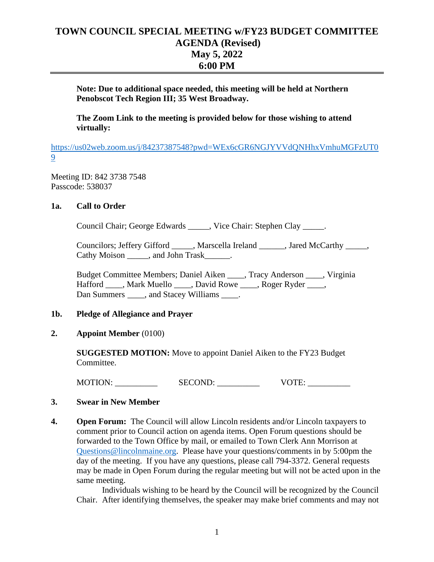# **TOWN COUNCIL SPECIAL MEETING w/FY23 BUDGET COMMITTEE AGENDA (Revised) May 5, 2022 6:00 PM**

**Note: Due to additional space needed, this meeting will be held at Northern Penobscot Tech Region III; 35 West Broadway.**

**The Zoom Link to the meeting is provided below for those wishing to attend virtually:**

[https://us02web.zoom.us/j/84237387548?pwd=WEx6cGR6NGJYVVdQNHhxVmhuMGFzUT0](https://us02web.zoom.us/j/84237387548?pwd=WEx6cGR6NGJYVVdQNHhxVmhuMGFzUT09) [9](https://us02web.zoom.us/j/84237387548?pwd=WEx6cGR6NGJYVVdQNHhxVmhuMGFzUT09)

Meeting ID: 842 3738 7548 Passcode: 538037

# **1a. Call to Order**

Council Chair; George Edwards \_\_\_\_\_, Vice Chair: Stephen Clay \_\_\_\_\_.

Councilors; Jeffery Gifford \_\_\_\_\_, Marscella Ireland \_\_\_\_\_\_, Jared McCarthy \_\_\_\_\_, Cathy Moison \_\_\_\_\_, and John Trask \_\_\_\_\_.

Budget Committee Members; Daniel Aiken \_\_\_\_, Tracy Anderson \_\_\_\_, Virginia Hafford \_\_\_\_, Mark Muello \_\_\_\_, David Rowe \_\_\_\_, Roger Ryder \_\_\_\_, Dan Summers \_\_\_\_, and Stacey Williams \_\_\_\_\_.

## **1b. Pledge of Allegiance and Prayer**

## **2. Appoint Member** (0100)

**SUGGESTED MOTION:** Move to appoint Daniel Aiken to the FY23 Budget Committee.

MOTION: \_\_\_\_\_\_\_\_\_\_ SECOND: \_\_\_\_\_\_\_\_\_\_ VOTE: \_\_\_\_\_\_\_\_\_\_

## **3. Swear in New Member**

**4. Open Forum:** The Council will allow Lincoln residents and/or Lincoln taxpayers to comment prior to Council action on agenda items. Open Forum questions should be forwarded to the Town Office by mail, or emailed to Town Clerk Ann Morrison at [Questions@lincolnmaine.org.](mailto:Questions@lincolnmaine.org) Please have your questions/comments in by 5:00pm the day of the meeting. If you have any questions, please call 794-3372. General requests may be made in Open Forum during the regular meeting but will not be acted upon in the same meeting.

Individuals wishing to be heard by the Council will be recognized by the Council Chair. After identifying themselves, the speaker may make brief comments and may not